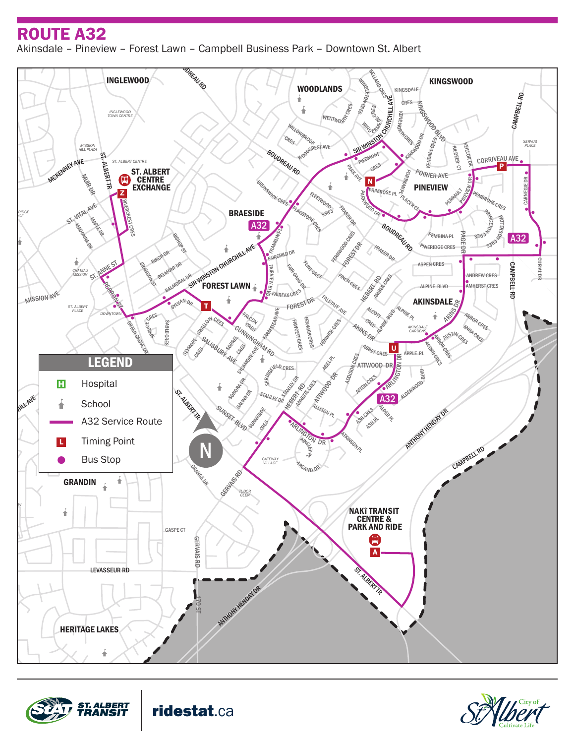## ROUTE A32

ROUTE A32<br>Akinsdale - Pineview - Forest Lawn - Campbell Business Park - Downtown St. Albert

DR